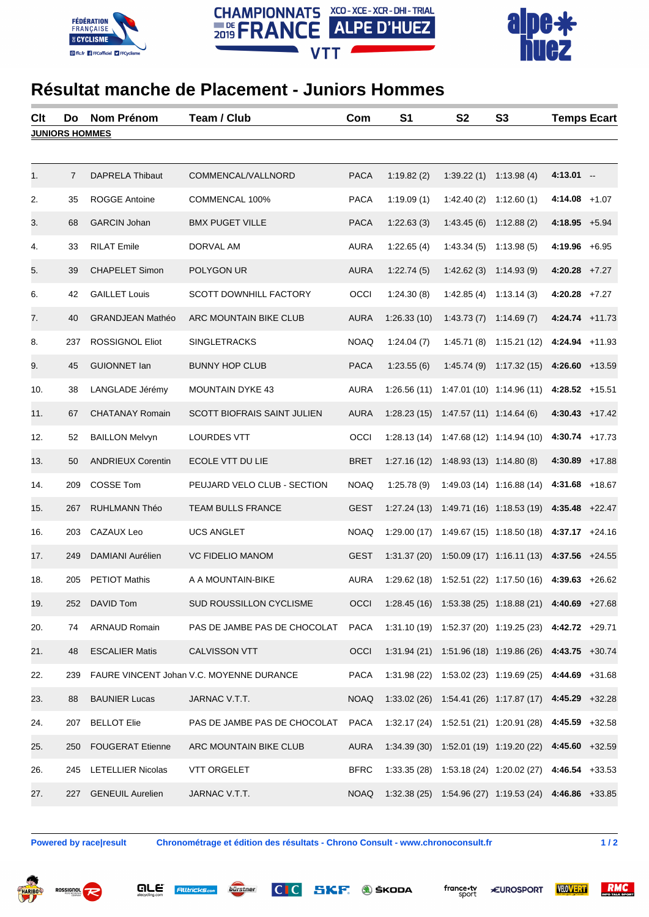





## **Résultat manche de Placement - Juniors Hommes**

| Clt                   | Do             | <b>Nom Prénom</b>        | Team / Club                              | Com         | S <sub>1</sub> | S <sub>2</sub>             | S <sub>3</sub>                                                    | <b>Temps Ecart</b> |  |  |
|-----------------------|----------------|--------------------------|------------------------------------------|-------------|----------------|----------------------------|-------------------------------------------------------------------|--------------------|--|--|
| <b>JUNIORS HOMMES</b> |                |                          |                                          |             |                |                            |                                                                   |                    |  |  |
|                       |                |                          |                                          |             |                |                            |                                                                   |                    |  |  |
| 1.                    | $\overline{7}$ | <b>DAPRELA Thibaut</b>   | COMMENCAL/VALLNORD                       | <b>PACA</b> | 1:19.82(2)     | 1:39.22(1)                 | 1:13.98(4)                                                        | $4:13.01 -$        |  |  |
| 2.                    | 35             | <b>ROGGE Antoine</b>     | COMMENCAL 100%                           | <b>PACA</b> | 1:19.09(1)     | 1:42.40(2)                 | 1:12.60(1)                                                        | $4:14.08$ +1.07    |  |  |
| 3.                    | 68             | <b>GARCIN Johan</b>      | <b>BMX PUGET VILLE</b>                   | <b>PACA</b> | 1:22.63(3)     | 1:43.45(6)                 | 1:12.88(2)                                                        | $4:18.95 + 5.94$   |  |  |
| 4.                    | 33             | <b>RILAT Emile</b>       | DORVAL AM                                | <b>AURA</b> | 1:22.65(4)     | 1:43.34(5)                 | 1:13.98(5)                                                        | $4:19.96 + 6.95$   |  |  |
| 5.                    | 39             | <b>CHAPELET Simon</b>    | POLYGON UR                               | <b>AURA</b> | 1:22.74(5)     | 1:42.62(3)                 | 1:14.93(9)                                                        | $4:20.28$ +7.27    |  |  |
| 6.                    | 42             | <b>GAILLET Louis</b>     | SCOTT DOWNHILL FACTORY                   | OCCI        | 1:24.30(8)     | 1:42.85(4)                 | 1:13.14(3)                                                        | $4:20.28$ +7.27    |  |  |
| 7.                    | 40             | <b>GRANDJEAN Mathéo</b>  | ARC MOUNTAIN BIKE CLUB                   | <b>AURA</b> | 1:26.33(10)    | 1:43.73(7)                 | 1:14.69(7)                                                        | $4:24.74$ $+11.73$ |  |  |
| 8.                    | 237            | <b>ROSSIGNOL Eliot</b>   | <b>SINGLETRACKS</b>                      | <b>NOAQ</b> | 1:24.04(7)     | 1:45.71(8)                 | 1:15.21(12)                                                       | $4:24.94$ +11.93   |  |  |
| 9.                    | 45             | <b>GUIONNET lan</b>      | <b>BUNNY HOP CLUB</b>                    | <b>PACA</b> | 1:23.55(6)     | 1:45.74(9)                 | 1:17.32(15)                                                       | $4:26.60 +13.59$   |  |  |
| 10.                   | 38             | LANGLADE Jérémy          | <b>MOUNTAIN DYKE 43</b>                  | <b>AURA</b> | 1:26.56(11)    |                            | 1:47.01 (10) 1:14.96 (11)                                         | $4:28.52 +15.51$   |  |  |
| 11.                   | 67             | <b>CHATANAY Romain</b>   | <b>SCOTT BIOFRAIS SAINT JULIEN</b>       | <b>AURA</b> | 1:28.23(15)    | $1:47.57(11)$ $1:14.64(6)$ |                                                                   | $4:30.43 +17.42$   |  |  |
| 12.                   | 52             | <b>BAILLON Melvyn</b>    | <b>LOURDES VTT</b>                       | OCCI        | 1:28.13(14)    |                            | 1:47.68 (12) 1:14.94 (10)                                         | $4:30.74$ +17.73   |  |  |
| 13.                   | 50             | <b>ANDRIEUX Corentin</b> | ECOLE VTT DU LIE                         | <b>BRET</b> | 1:27.16(12)    | $1:48.93(13)$ $1:14.80(8)$ |                                                                   | $4:30.89$ +17.88   |  |  |
| 14.                   | 209            | <b>COSSE Tom</b>         | PEUJARD VELO CLUB - SECTION              | <b>NOAQ</b> | 1:25.78(9)     |                            | 1:49.03 (14) 1:16.88 (14)                                         | $4:31.68$ +18.67   |  |  |
| 15.                   | 267            | RUHLMANN Théo            | TEAM BULLS FRANCE                        | <b>GEST</b> | 1:27.24(13)    |                            | $1:49.71(16)$ $1:18.53(19)$ <b>4:35.48</b> $+22.47$               |                    |  |  |
| 16.                   | 203            | CAZAUX Leo               | <b>UCS ANGLET</b>                        | <b>NOAQ</b> | 1:29.00(17)    |                            | $1:49.67(15)$ 1:18.50 (18)                                        | $4:37.17 +24.16$   |  |  |
| 17.                   | 249            | DAMIANI Aurélien         | <b>VC FIDELIO MANOM</b>                  | <b>GEST</b> | 1:31.37(20)    |                            | $1:50.09(17)$ $1:16.11(13)$ $4:37.56$ $+24.55$                    |                    |  |  |
| 18.                   | 205            | <b>PETIOT Mathis</b>     | A A MOUNTAIN-BIKE                        | <b>AURA</b> | 1:29.62 (18)   |                            | $1:52.51(22)$ $1:17.50(16)$ <b>4:39.63</b> $+26.62$               |                    |  |  |
| 19.                   | 252            | DAVID Tom                | SUD ROUSSILLON CYCLISME                  | OCCI        |                |                            | $1:28.45(16)$ $1:53.38(25)$ $1:18.88(21)$ <b>4:40.69</b> $+27.68$ |                    |  |  |
| 20.                   | 74             | <b>ARNAUD Romain</b>     | PAS DE JAMBE PAS DE CHOCOLAT             | <b>PACA</b> |                |                            | $1:31.10(19)$ $1:52.37(20)$ $1:19.25(23)$ <b>4:42.72</b> $+29.71$ |                    |  |  |
| 21.                   | 48             | <b>ESCALIER Matis</b>    | <b>CALVISSON VTT</b>                     | OCCI        |                |                            | $1:31.94(21)$ $1:51.96(18)$ $1:19.86(26)$ <b>4:43.75</b> $+30.74$ |                    |  |  |
| 22.                   | 239            |                          | FAURE VINCENT Johan V.C. MOYENNE DURANCE | <b>PACA</b> |                |                            | $1:31.98(22)$ $1:53.02(23)$ $1:19.69(25)$ <b>4:44.69</b> $+31.68$ |                    |  |  |
| 23.                   | 88             | <b>BAUNIER Lucas</b>     | JARNAC V.T.T.                            | <b>NOAQ</b> |                |                            | 1:33.02 (26) 1:54.41 (26) 1:17.87 (17) 4:45.29 +32.28             |                    |  |  |
| 24.                   | 207            | <b>BELLOT Elie</b>       | PAS DE JAMBE PAS DE CHOCOLAT             | <b>PACA</b> |                |                            | $1:32.17(24)$ $1:52.51(21)$ $1:20.91(28)$ <b>4:45.59</b> $+32.58$ |                    |  |  |
| 25.                   | 250            | <b>FOUGERAT Etienne</b>  | ARC MOUNTAIN BIKE CLUB                   | <b>AURA</b> |                |                            | $1:34.39(30)$ $1:52.01(19)$ $1:19.20(22)$ <b>4:45.60</b> $+32.59$ |                    |  |  |
| 26.                   | 245            | <b>LETELLIER Nicolas</b> | <b>VTT ORGELET</b>                       | <b>BFRC</b> |                |                            | $1:33.35(28)$ $1:53.18(24)$ $1:20.02(27)$ <b>4:46.54</b> $+33.53$ |                    |  |  |
| 27.                   | 227            | <b>GENEUIL Aurelien</b>  | JARNAC V.T.T.                            | <b>NOAQ</b> |                |                            | 1:32.38 (25) 1:54.96 (27) 1:19.53 (24) 4:46.86 +33.85             |                    |  |  |
|                       |                |                          |                                          |             |                |                            |                                                                   |                    |  |  |

are

**Alltricks.com** 

**Powered by race|result Chronométrage et édition des résultats - Chrono Consult - www.chronoconsult.fr 1 / 2**

bürstner